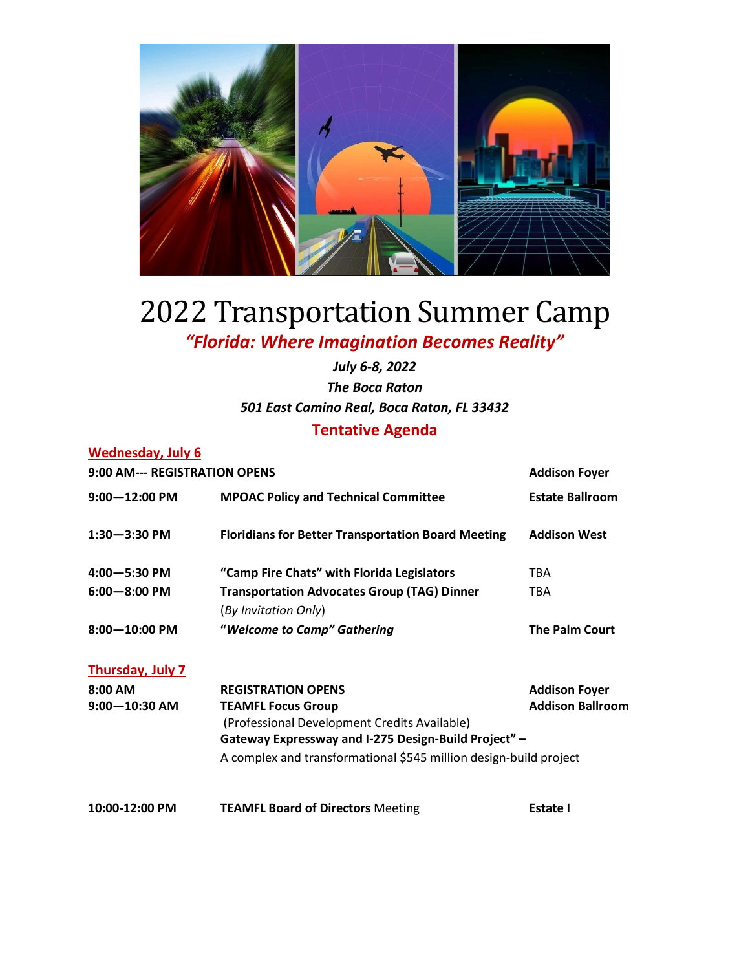

## 2022 Transportation Summer Camp *"Florida: Where Imagination Becomes Reality"*

## *July 6-8, 2022 The Boca Raton 501 East Camino Real, Boca Raton, FL 33432* **Tentative Agenda**

## **Wednesday, July 6**

| 9:00 AM--- REGISTRATION OPENS | <b>Addison Foyer</b>                                      |                         |
|-------------------------------|-----------------------------------------------------------|-------------------------|
| $9:00 - 12:00$ PM             | <b>MPOAC Policy and Technical Committee</b>               | <b>Estate Ballroom</b>  |
| $1:30 - 3:30$ PM              | <b>Floridians for Better Transportation Board Meeting</b> | <b>Addison West</b>     |
| $4:00 - 5:30$ PM              | "Camp Fire Chats" with Florida Legislators                | TBA                     |
| $6:00 - 8:00$ PM              | <b>Transportation Advocates Group (TAG) Dinner</b>        | <b>TBA</b>              |
|                               | (By Invitation Only)                                      |                         |
| $8:00 - 10:00$ PM             | "Welcome to Camp" Gathering                               | <b>The Palm Court</b>   |
| Thursday, July 7              |                                                           |                         |
| $8:00$ AM                     | <b>REGISTRATION OPENS</b>                                 | <b>Addison Foyer</b>    |
| $9:00 - 10:30$ AM             | <b>TEAMFL Focus Group</b>                                 | <b>Addison Ballroom</b> |
|                               | (Professional Development Credits Available)              |                         |
|                               | Gateway Expressway and I-275 Design-Build Project" -      |                         |

A complex and transformational \$545 million design-build project

**10:00-12:00 PM TEAMFL Board of Directors** Meeting **Estate I**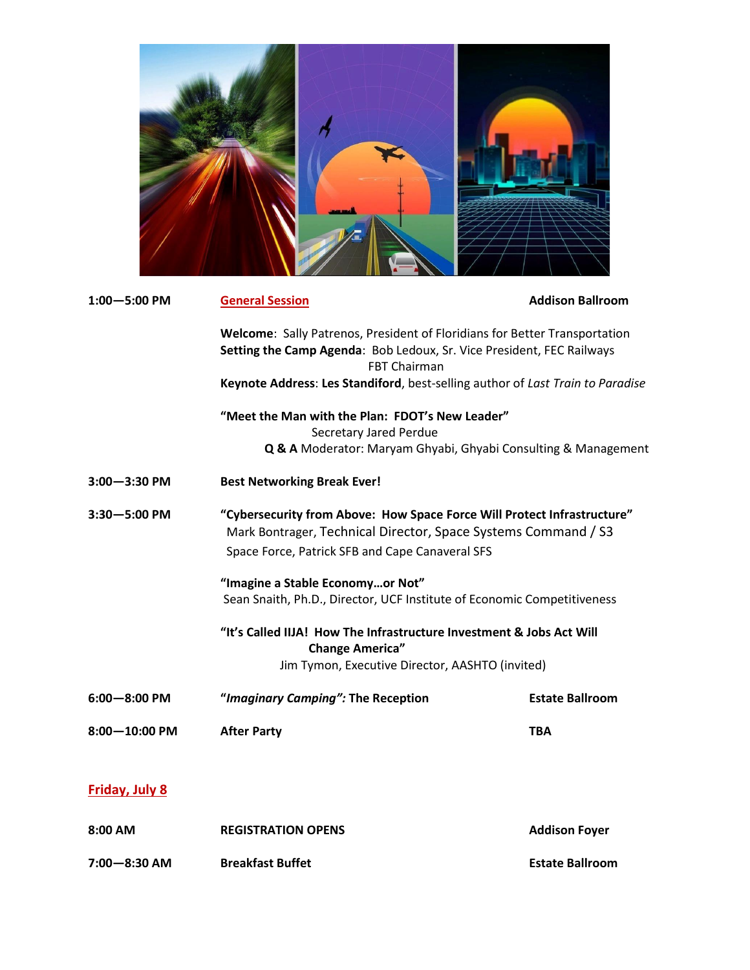| $1:00 - 5:00$ PM      | <b>General Session</b>                                                                                                                                                                       | <b>Addison Ballroom</b> |  |  |
|-----------------------|----------------------------------------------------------------------------------------------------------------------------------------------------------------------------------------------|-------------------------|--|--|
|                       | Welcome: Sally Patrenos, President of Floridians for Better Transportation<br>Setting the Camp Agenda: Bob Ledoux, Sr. Vice President, FEC Railways<br><b>FBT Chairman</b>                   |                         |  |  |
|                       | Keynote Address: Les Standiford, best-selling author of Last Train to Paradise                                                                                                               |                         |  |  |
|                       | "Meet the Man with the Plan: FDOT's New Leader"<br>Secretary Jared Perdue<br>Q & A Moderator: Maryam Ghyabi, Ghyabi Consulting & Management                                                  |                         |  |  |
| $3:00 - 3:30$ PM      | <b>Best Networking Break Ever!</b>                                                                                                                                                           |                         |  |  |
| $3:30 - 5:00$ PM      | "Cybersecurity from Above: How Space Force Will Protect Infrastructure"<br>Mark Bontrager, Technical Director, Space Systems Command / S3<br>Space Force, Patrick SFB and Cape Canaveral SFS |                         |  |  |
|                       | "Imagine a Stable Economyor Not"<br>Sean Snaith, Ph.D., Director, UCF Institute of Economic Competitiveness                                                                                  |                         |  |  |
|                       | "It's Called IIJA! How The Infrastructure Investment & Jobs Act Will<br><b>Change America"</b><br>Jim Tymon, Executive Director, AASHTO (invited)                                            |                         |  |  |
| $6:00 - 8:00$ PM      | "Imaginary Camping": The Reception                                                                                                                                                           | <b>Estate Ballroom</b>  |  |  |
| 8:00-10:00 PM         | <b>After Party</b>                                                                                                                                                                           | <b>TBA</b>              |  |  |
| <b>Friday, July 8</b> |                                                                                                                                                                                              |                         |  |  |
| 8:00 AM               | <b>REGISTRATION OPENS</b>                                                                                                                                                                    | <b>Addison Foyer</b>    |  |  |

**7:00—8:30 AM Breakfast Buffet Estate Ballroom**